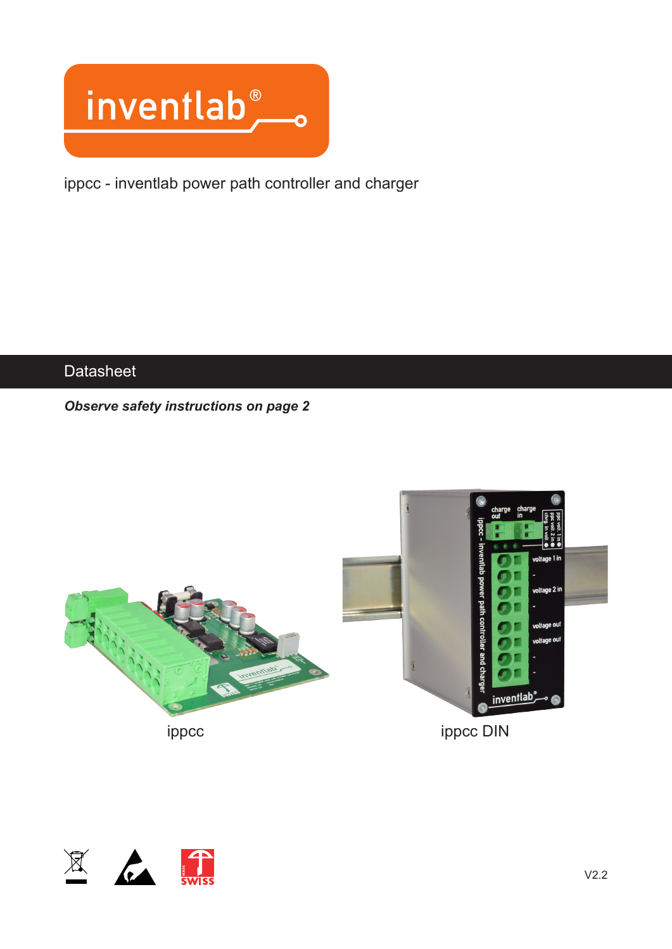

ippcc - inventlab power path controller and charger

## **Datasheet**

#### *Observe safety instructions on page 2*



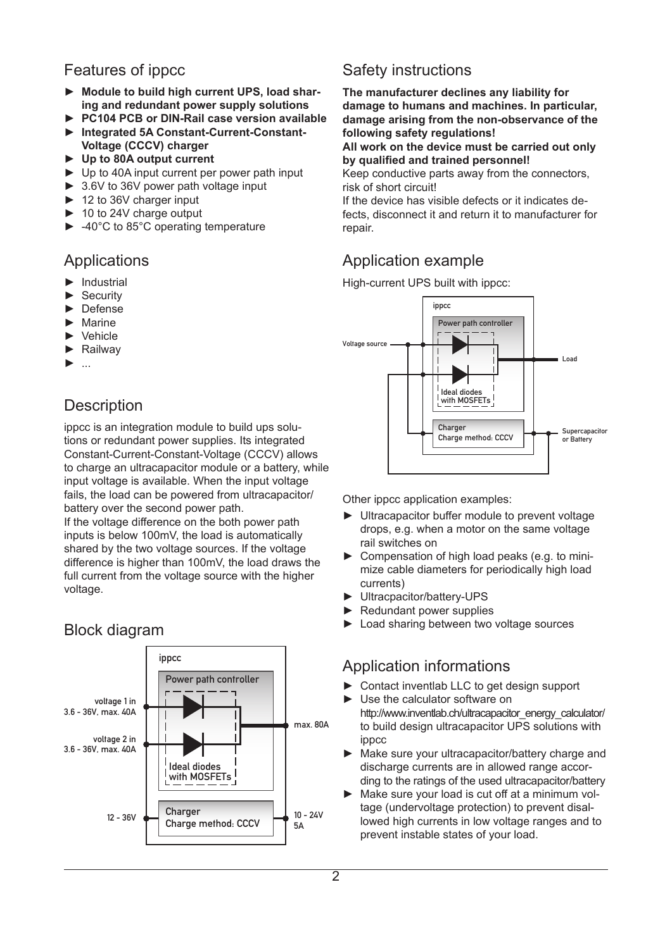## Features of ippcc

- ► **Module to build high current UPS, load sharing and redundant power supply solutions**
- ► **PC104 PCB or DIN-Rail case version available**
- ► **Integrated 5A Constant-Current-Constant-Voltage (CCCV) charger**
- ► **Up to 80A output current**
- ► Up to 40A input current per power path input
- ► 3.6V to 36V power path voltage input
- ► 12 to 36V charger input
- ► 10 to 24V charge output
- ► -40°C to 85°C operating temperature

#### Applications

- ► Industrial
- ► Security
- ► Defense
- **Marine**
- ► Vehicle
- ► Railway
- ► ...

## **Description**

ippcc is an integration module to build ups solutions or redundant power supplies. Its integrated Constant-Current-Constant-Voltage (CCCV) allows to charge an ultracapacitor module or a battery, while input voltage is available. When the input voltage fails, the load can be powered from ultracapacitor/ battery over the second power path.

If the voltage difference on the both power path inputs is below 100mV, the load is automatically shared by the two voltage sources. If the voltage difference is higher than 100mV, the load draws the full current from the voltage source with the higher voltage.

#### $12 - 36V$  Charge method: CCCV  $10 - 24V$ 5A voltage 1 in 3.6 - 36V, max. 40A voltage 2 in 3.6 - 36V, max. 40A Power path controller Ideal diodes with MOSFETs max. 80A ippcc **Charger**

## Safety instructions

**The manufacturer declines any liability for damage to humans and machines. In particular, damage arising from the non-observance of the following safety regulations!**

#### **All work on the device must be carried out only by qualified and trained personnel!**

Keep conductive parts away from the connectors, risk of short circuit!

If the device has visible defects or it indicates defects, disconnect it and return it to manufacturer for repair.

## Application example

High-current UPS built with ippcc:



Other ippcc application examples:

- ► Ultracapacitor buffer module to prevent voltage drops, e.g. when a motor on the same voltage rail switches on
- ► Compensation of high load peaks (e.g. to minimize cable diameters for periodically high load currents)
- ► Ultracpacitor/battery-UPS
- ► Redundant power supplies
- ► Load sharing between two voltage sources

## Application informations

- ► Contact inventlab LLC to get design support
- ► Use the calculator software on http://www.inventlab.ch/ultracapacitor\_energy\_calculator/ to build design ultracapacitor UPS solutions with ippcc
- ► Make sure your ultracapacitor/battery charge and discharge currents are in allowed range according to the ratings of the used ultracapacitor/battery
- ► Make sure your load is cut off at a minimum voltage (undervoltage protection) to prevent disallowed high currents in low voltage ranges and to prevent instable states of your load.

## Block diagram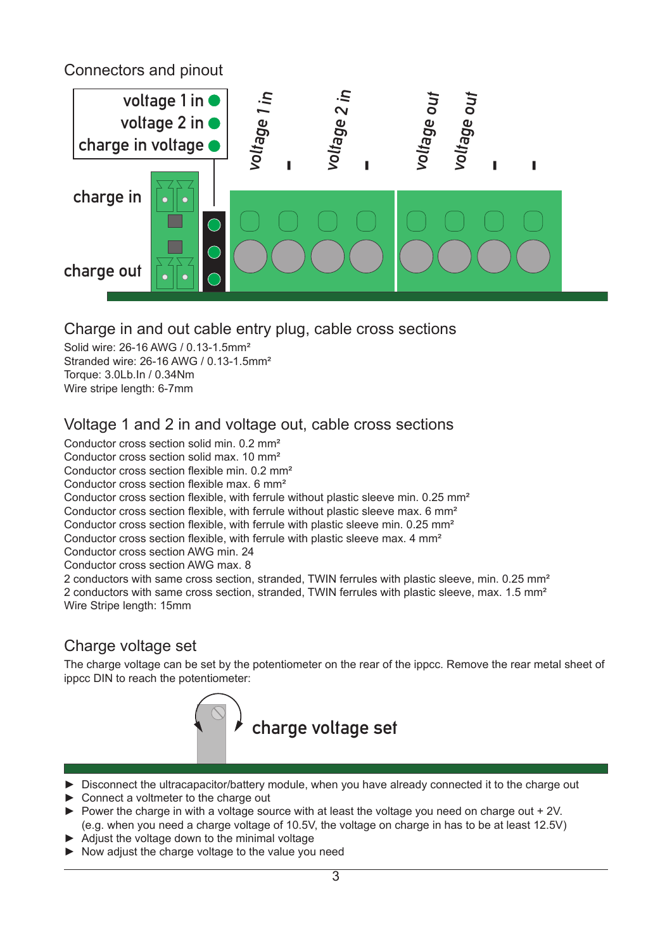Connectors and pinout



#### Charge in and out cable entry plug, cable cross sections

Solid wire: 26-16 AWG / 0.13-1.5mm² Stranded wire: 26-16 AWG / 0.13-1.5mm² Torque: 3.0Lb.In / 0.34Nm Wire stripe length: 6-7mm

## Voltage 1 and 2 in and voltage out, cable cross sections

Conductor cross section solid min. 0.2 mm² Conductor cross section solid max. 10 mm² Conductor cross section flexible min. 0.2 mm² Conductor cross section flexible max. 6 mm² Conductor cross section flexible, with ferrule without plastic sleeve min. 0.25 mm² Conductor cross section flexible, with ferrule without plastic sleeve max. 6 mm² Conductor cross section flexible, with ferrule with plastic sleeve min. 0.25 mm² Conductor cross section flexible, with ferrule with plastic sleeve max. 4 mm² Conductor cross section AWG min. 24 Conductor cross section AWG max. 8 2 conductors with same cross section, stranded, TWIN ferrules with plastic sleeve, min. 0.25 mm<sup>2</sup> 2 conductors with same cross section, stranded, TWIN ferrules with plastic sleeve, max. 1.5 mm² Wire Stripe length: 15mm

## Charge voltage set

The charge voltage can be set by the potentiometer on the rear of the ippcc. Remove the rear metal sheet of ippcc DIN to reach the potentiometer:



- ► Disconnect the ultracapacitor/battery module, when you have already connected it to the charge out
- ► Connect a voltmeter to the charge out
- $\triangleright$  Power the charge in with a voltage source with at least the voltage you need on charge out + 2V. (e.g. when you need a charge voltage of 10.5V, the voltage on charge in has to be at least 12.5V)
- ► Adjust the voltage down to the minimal voltage
- ► Now adjust the charge voltage to the value you need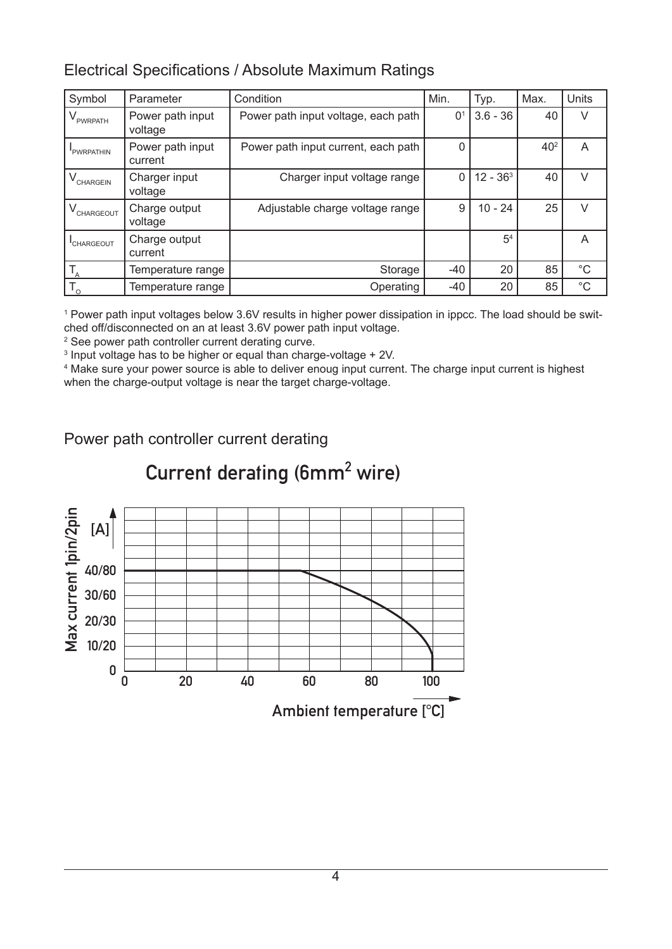## Electrical Specifications / Absolute Maximum Ratings

| Symbol       | Parameter                   | Condition                           | Min.           | Typ.           | Max.            | <b>Units</b> |
|--------------|-----------------------------|-------------------------------------|----------------|----------------|-----------------|--------------|
| PWRPATH      | Power path input<br>voltage | Power path input voltage, each path | 0 <sup>1</sup> | $3.6 - 36$     | 40              | V            |
| PWRPATHIN    | Power path input<br>current | Power path input current, each path | 0              |                | 40 <sup>2</sup> | A            |
| CHARGEIN     | Charger input<br>voltage    | Charger input voltage range         | 0              | $12 - 363$     | 40              | V            |
| CHARGEOUT    | Charge output<br>voltage    | Adjustable charge voltage range     | 9              | $10 - 24$      | 25              | V            |
| CHARGEOUT    | Charge output<br>current    |                                     |                | 5 <sup>4</sup> |                 | A            |
|              | Temperature range           | Storage                             | -40            | 20             | 85              | $^{\circ}C$  |
| $T_{\alpha}$ | Temperature range           | Operating                           | $-40$          | 20             | 85              | $^{\circ}$ C |

1 Power path input voltages below 3.6V results in higher power dissipation in ippcc. The load should be switched off/disconnected on an at least 3.6V power path input voltage.

2 See power path controller current derating curve.

 $^{\text{3}}$  Input voltage has to be higher or equal than charge-voltage + 2V.

4 Make sure your power source is able to deliver enoug input current. The charge input current is highest when the charge-output voltage is near the target charge-voltage.

Power path controller current derating



# Current derating (6mm<sup>2</sup> wire)

4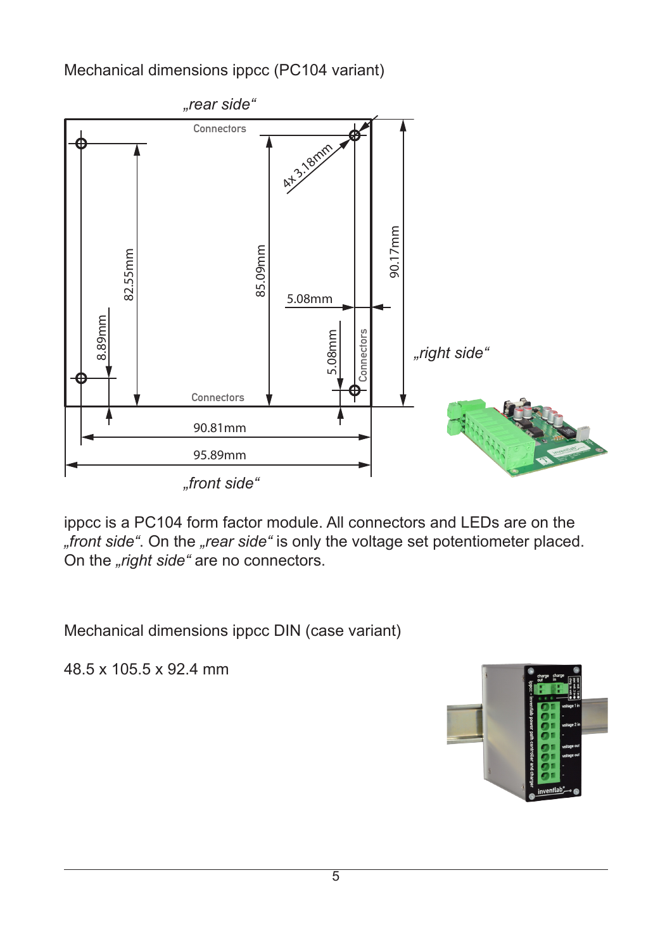## Mechanical dimensions ippcc (PC104 variant)



ippcc is a PC104 form factor module. All connectors and LEDs are on the *front side"*. On the *"rear side"* is only the voltage set potentiometer placed. On the *"right side"* are no connectors.

Mechanical dimensions ippcc DIN (case variant)

48.5 x 105.5 x 92.4 mm